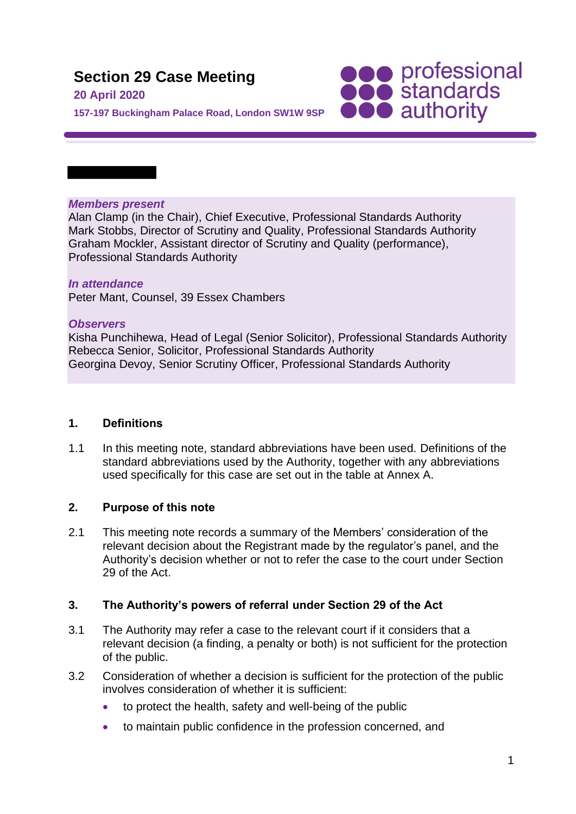# **Section 29 Case Meeting**

#### **20 April 2020**

**SOO professional**<br> **SOO standards**<br> **OOO** authority

**157-197 Buckingham Palace Road, London SW1W 9SP**

#### *Members present*

Alan Clamp (in the Chair), Chief Executive, Professional Standards Authority Mark Stobbs, Director of Scrutiny and Quality, Professional Standards Authority Graham Mockler, Assistant director of Scrutiny and Quality (performance), Professional Standards Authority

## *In attendance*

Peter Mant, Counsel, 39 Essex Chambers

#### *Observers*

Kisha Punchihewa, Head of Legal (Senior Solicitor), Professional Standards Authority Rebecca Senior, Solicitor, Professional Standards Authority Georgina Devoy, Senior Scrutiny Officer, Professional Standards Authority

#### **1. Definitions**

1.1 In this meeting note, standard abbreviations have been used. Definitions of the standard abbreviations used by the Authority, together with any abbreviations used specifically for this case are set out in the table at Annex A.

## **2. Purpose of this note**

2.1 This meeting note records a summary of the Members' consideration of the relevant decision about the Registrant made by the regulator's panel, and the Authority's decision whether or not to refer the case to the court under Section 29 of the Act.

## **3. The Authority's powers of referral under Section 29 of the Act**

- 3.1 The Authority may refer a case to the relevant court if it considers that a relevant decision (a finding, a penalty or both) is not sufficient for the protection of the public.
- 3.2 Consideration of whether a decision is sufficient for the protection of the public involves consideration of whether it is sufficient:
	- to protect the health, safety and well-being of the public
	- to maintain public confidence in the profession concerned, and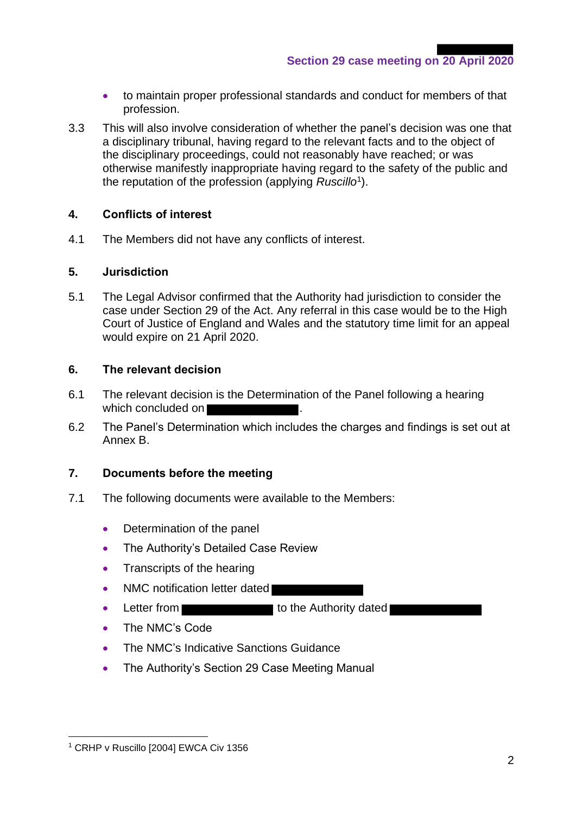**Section 29 case meeting on 20 April 2020**

- to maintain proper professional standards and conduct for members of that profession.
- 3.3 This will also involve consideration of whether the panel's decision was one that a disciplinary tribunal, having regard to the relevant facts and to the object of the disciplinary proceedings, could not reasonably have reached; or was otherwise manifestly inappropriate having regard to the safety of the public and the reputation of the profession (applying *Ruscillo*<sup>1</sup> ).

## **4. Conflicts of interest**

4.1 The Members did not have any conflicts of interest.

#### **5. Jurisdiction**

5.1 The Legal Advisor confirmed that the Authority had jurisdiction to consider the case under Section 29 of the Act. Any referral in this case would be to the High Court of Justice of England and Wales and the statutory time limit for an appeal would expire on 21 April 2020.

#### **6. The relevant decision**

- 6.1 The relevant decision is the Determination of the Panel following a hearing which concluded on
- 6.2 The Panel's Determination which includes the charges and findings is set out at Annex B.

#### **7. Documents before the meeting**

- 7.1 The following documents were available to the Members:
	- Determination of the panel
	- The Authority's Detailed Case Review
	- Transcripts of the hearing
	- NMC notification letter dated
	- Letter from the Authority dated
	- The NMC's Code
	- The NMC's Indicative Sanctions Guidance
	- The Authority's Section 29 Case Meeting Manual

<sup>&</sup>lt;sup>1</sup> CRHP v Ruscillo [2004] EWCA Civ 1356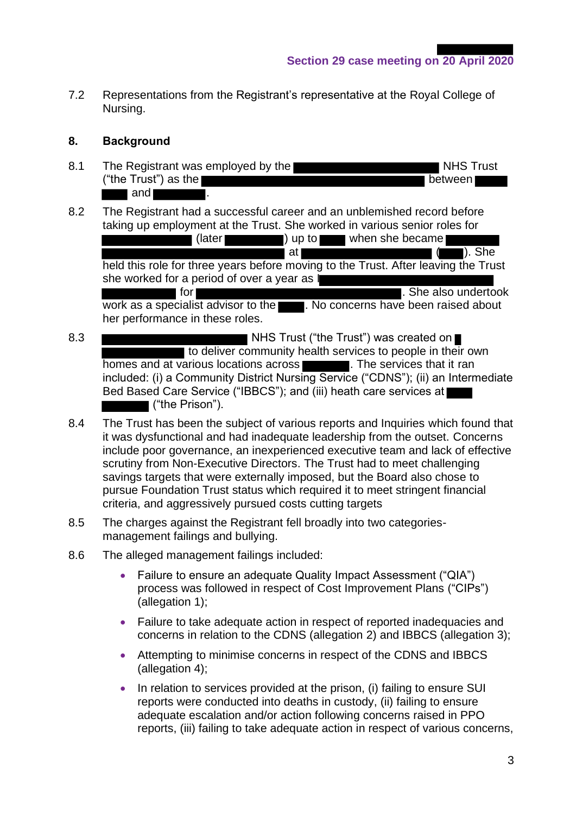**Section 29 case meeting on 20 April 2020**

7.2 Representations from the Registrant's representative at the Royal College of Nursing.

## **8. Background**

- 8.1 The Registrant was employed by the NHS Trust NHS Trust  $("the Trust")$  as the  $b$  $\blacksquare$  and  $\blacksquare$
- 8.2 The Registrant had a successful career and an unblemished record before taking up employment at the Trust. She worked in various senior roles for

(later **)** up to when she became at ( ). She held this role for three years before moving to the Trust. After leaving the Trust she worked for a period of over a year as  $\parallel$ **for for** *for for for for for for for for for for for for for for for for <i>for* **<b>***for for <i>for**<i>for**<i>for**<i>for**<i>for**<i>for**<i>for*work as a specialist advisor to the . No concerns have been raised about her performance in these roles.

- 8.3 NHS Trust ("the Trust") was created on to deliver community health services to people in their own homes and at various locations across **that if it rands**. The services that it rands included: (i) a Community District Nursing Service ("CDNS"); (ii) an Intermediate Bed Based Care Service ("IBBCS"); and (iii) heath care services at ("the Prison").
- 8.4 The Trust has been the subject of various reports and Inquiries which found that it was dysfunctional and had inadequate leadership from the outset. Concerns include poor governance, an inexperienced executive team and lack of effective scrutiny from Non-Executive Directors. The Trust had to meet challenging savings targets that were externally imposed, but the Board also chose to pursue Foundation Trust status which required it to meet stringent financial criteria, and aggressively pursued costs cutting targets
- 8.5 The charges against the Registrant fell broadly into two categoriesmanagement failings and bullying.
- 8.6 The alleged management failings included:
	- Failure to ensure an adequate Quality Impact Assessment ("QIA") process was followed in respect of Cost Improvement Plans ("CIPs") (allegation 1);
	- Failure to take adequate action in respect of reported inadequacies and concerns in relation to the CDNS (allegation 2) and IBBCS (allegation 3);
	- Attempting to minimise concerns in respect of the CDNS and IBBCS (allegation 4);
	- In relation to services provided at the prison, (i) failing to ensure SUI reports were conducted into deaths in custody, (ii) failing to ensure adequate escalation and/or action following concerns raised in PPO reports, (iii) failing to take adequate action in respect of various concerns,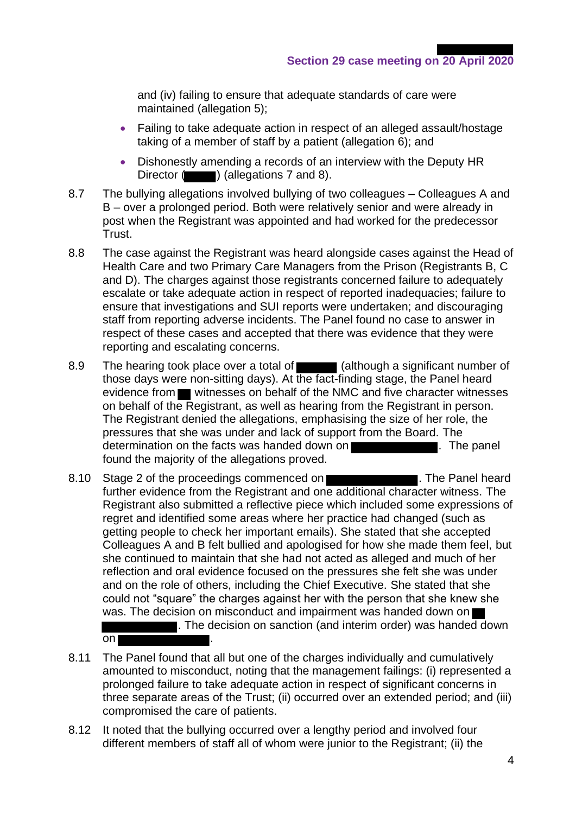and (iv) failing to ensure that adequate standards of care were maintained (allegation 5);

- Failing to take adequate action in respect of an alleged assault/hostage taking of a member of staff by a patient (allegation 6); and
- Dishonestly amending a records of an interview with the Deputy HR Director  $($  ) (allegations 7 and 8).
- 8.7 The bullying allegations involved bullying of two colleagues Colleagues A and B – over a prolonged period. Both were relatively senior and were already in post when the Registrant was appointed and had worked for the predecessor Trust.
- 8.8 The case against the Registrant was heard alongside cases against the Head of Health Care and two Primary Care Managers from the Prison (Registrants B, C and D). The charges against those registrants concerned failure to adequately escalate or take adequate action in respect of reported inadequacies; failure to ensure that investigations and SUI reports were undertaken; and discouraging staff from reporting adverse incidents. The Panel found no case to answer in respect of these cases and accepted that there was evidence that they were reporting and escalating concerns.
- 8.9 The hearing took place over a total of (although a significant number of those days were non-sitting days). At the fact-finding stage, the Panel heard evidence from **witnesses on behalf of the NMC and five character witnesses** on behalf of the Registrant, as well as hearing from the Registrant in person. The Registrant denied the allegations, emphasising the size of her role, the pressures that she was under and lack of support from the Board. The determination on the facts was handed down on **The state of the state of the panel**. The panel found the majority of the allegations proved.
- 8.10 Stage 2 of the proceedings commenced on **EXACTER 1999.** The Panel heard further evidence from the Registrant and one additional character witness. The Registrant also submitted a reflective piece which included some expressions of regret and identified some areas where her practice had changed (such as getting people to check her important emails). She stated that she accepted Colleagues A and B felt bullied and apologised for how she made them feel, but she continued to maintain that she had not acted as alleged and much of her reflection and oral evidence focused on the pressures she felt she was under and on the role of others, including the Chief Executive. She stated that she could not "square" the charges against her with the person that she knew she was. The decision on misconduct and impairment was handed down on  $\blacksquare$ . The decision on sanction (and interim order) was handed down
	- on |
- 8.11 The Panel found that all but one of the charges individually and cumulatively amounted to misconduct, noting that the management failings: (i) represented a prolonged failure to take adequate action in respect of significant concerns in three separate areas of the Trust; (ii) occurred over an extended period; and (iii) compromised the care of patients.
- 8.12 It noted that the bullying occurred over a lengthy period and involved four different members of staff all of whom were junior to the Registrant; (ii) the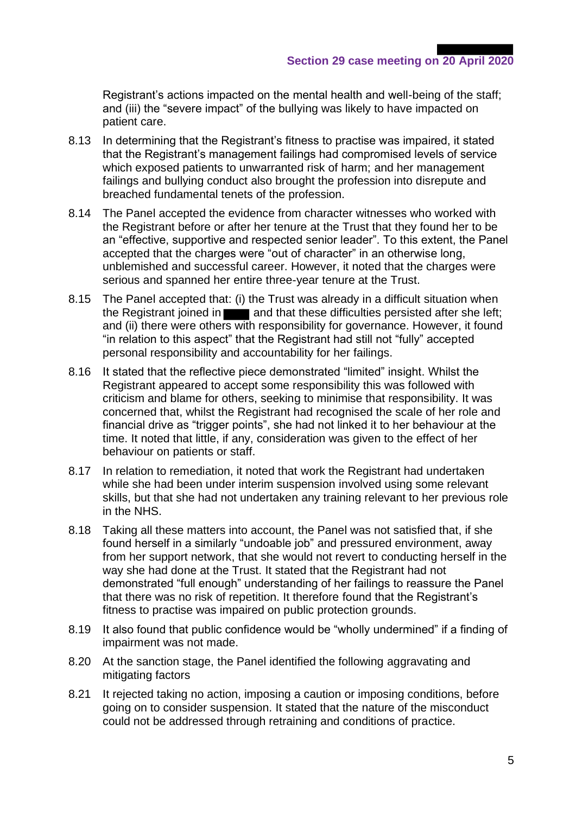Registrant's actions impacted on the mental health and well-being of the staff; and (iii) the "severe impact" of the bullying was likely to have impacted on patient care.

- 8.13 In determining that the Registrant's fitness to practise was impaired, it stated that the Registrant's management failings had compromised levels of service which exposed patients to unwarranted risk of harm; and her management failings and bullying conduct also brought the profession into disrepute and breached fundamental tenets of the profession.
- 8.14 The Panel accepted the evidence from character witnesses who worked with the Registrant before or after her tenure at the Trust that they found her to be an "effective, supportive and respected senior leader". To this extent, the Panel accepted that the charges were "out of character" in an otherwise long, unblemished and successful career. However, it noted that the charges were serious and spanned her entire three-year tenure at the Trust.
- 8.15 The Panel accepted that: (i) the Trust was already in a difficult situation when the Registrant joined in **Theory and that these difficulties persisted after she left;** and (ii) there were others with responsibility for governance. However, it found "in relation to this aspect" that the Registrant had still not "fully" accepted personal responsibility and accountability for her failings.
- 8.16 It stated that the reflective piece demonstrated "limited" insight. Whilst the Registrant appeared to accept some responsibility this was followed with criticism and blame for others, seeking to minimise that responsibility. It was concerned that, whilst the Registrant had recognised the scale of her role and financial drive as "trigger points", she had not linked it to her behaviour at the time. It noted that little, if any, consideration was given to the effect of her behaviour on patients or staff.
- 8.17 In relation to remediation, it noted that work the Registrant had undertaken while she had been under interim suspension involved using some relevant skills, but that she had not undertaken any training relevant to her previous role in the NHS.
- 8.18 Taking all these matters into account, the Panel was not satisfied that, if she found herself in a similarly "undoable job" and pressured environment, away from her support network, that she would not revert to conducting herself in the way she had done at the Trust. It stated that the Registrant had not demonstrated "full enough" understanding of her failings to reassure the Panel that there was no risk of repetition. It therefore found that the Registrant's fitness to practise was impaired on public protection grounds.
- 8.19 It also found that public confidence would be "wholly undermined" if a finding of impairment was not made.
- 8.20 At the sanction stage, the Panel identified the following aggravating and mitigating factors
- 8.21 It rejected taking no action, imposing a caution or imposing conditions, before going on to consider suspension. It stated that the nature of the misconduct could not be addressed through retraining and conditions of practice.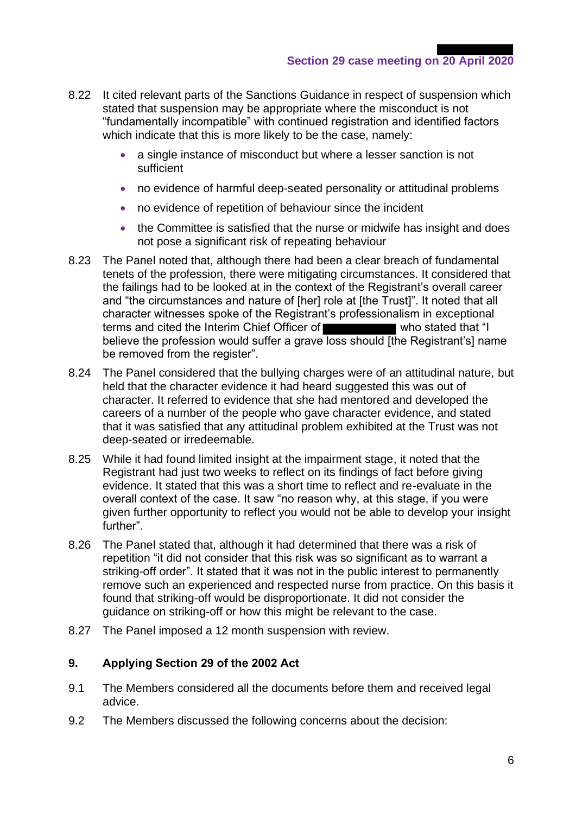- 8.22 It cited relevant parts of the Sanctions Guidance in respect of suspension which stated that suspension may be appropriate where the misconduct is not "fundamentally incompatible" with continued registration and identified factors which indicate that this is more likely to be the case, namely:
	- a single instance of misconduct but where a lesser sanction is not sufficient
	- no evidence of harmful deep-seated personality or attitudinal problems
	- no evidence of repetition of behaviour since the incident
	- the Committee is satisfied that the nurse or midwife has insight and does not pose a significant risk of repeating behaviour
- 8.23 The Panel noted that, although there had been a clear breach of fundamental tenets of the profession, there were mitigating circumstances. It considered that the failings had to be looked at in the context of the Registrant's overall career and "the circumstances and nature of [her] role at [the Trust]". It noted that all character witnesses spoke of the Registrant's professionalism in exceptional terms and cited the Interim Chief Officer of who stated that "I believe the profession would suffer a grave loss should [the Registrant's] name be removed from the register".
- 8.24 The Panel considered that the bullying charges were of an attitudinal nature, but held that the character evidence it had heard suggested this was out of character. It referred to evidence that she had mentored and developed the careers of a number of the people who gave character evidence, and stated that it was satisfied that any attitudinal problem exhibited at the Trust was not deep-seated or irredeemable.
- 8.25 While it had found limited insight at the impairment stage, it noted that the Registrant had just two weeks to reflect on its findings of fact before giving evidence. It stated that this was a short time to reflect and re-evaluate in the overall context of the case. It saw "no reason why, at this stage, if you were given further opportunity to reflect you would not be able to develop your insight further".
- 8.26 The Panel stated that, although it had determined that there was a risk of repetition "it did not consider that this risk was so significant as to warrant a striking-off order". It stated that it was not in the public interest to permanently remove such an experienced and respected nurse from practice. On this basis it found that striking-off would be disproportionate. It did not consider the guidance on striking-off or how this might be relevant to the case.
- 8.27 The Panel imposed a 12 month suspension with review.

## **9. Applying Section 29 of the 2002 Act**

- 9.1 The Members considered all the documents before them and received legal advice.
- 9.2 The Members discussed the following concerns about the decision: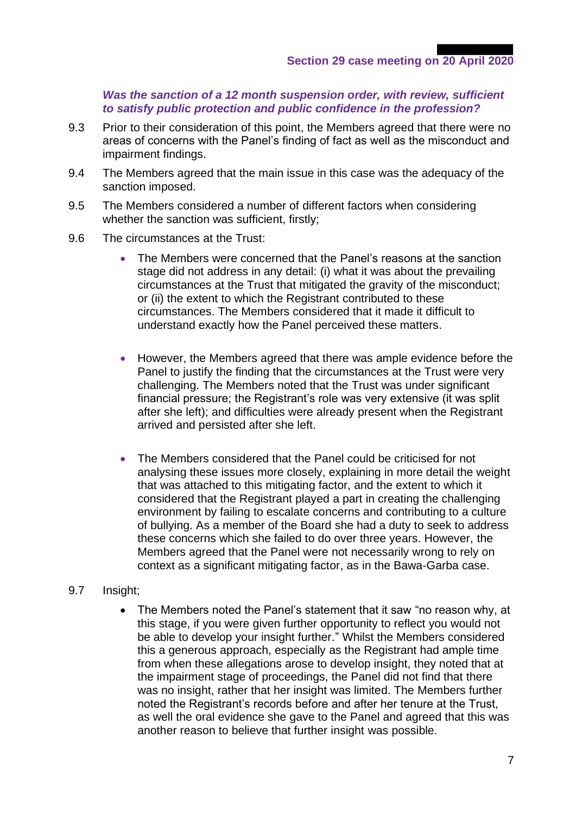#### *Was the sanction of a 12 month suspension order, with review, sufficient to satisfy public protection and public confidence in the profession?*

- 9.3 Prior to their consideration of this point, the Members agreed that there were no areas of concerns with the Panel's finding of fact as well as the misconduct and impairment findings.
- 9.4 The Members agreed that the main issue in this case was the adequacy of the sanction imposed.
- 9.5 The Members considered a number of different factors when considering whether the sanction was sufficient, firstly;
- 9.6 The circumstances at the Trust:
	- The Members were concerned that the Panel's reasons at the sanction stage did not address in any detail: (i) what it was about the prevailing circumstances at the Trust that mitigated the gravity of the misconduct; or (ii) the extent to which the Registrant contributed to these circumstances. The Members considered that it made it difficult to understand exactly how the Panel perceived these matters.
	- However, the Members agreed that there was ample evidence before the Panel to justify the finding that the circumstances at the Trust were very challenging. The Members noted that the Trust was under significant financial pressure; the Registrant's role was very extensive (it was split after she left); and difficulties were already present when the Registrant arrived and persisted after she left.
	- The Members considered that the Panel could be criticised for not analysing these issues more closely, explaining in more detail the weight that was attached to this mitigating factor, and the extent to which it considered that the Registrant played a part in creating the challenging environment by failing to escalate concerns and contributing to a culture of bullying. As a member of the Board she had a duty to seek to address these concerns which she failed to do over three years. However, the Members agreed that the Panel were not necessarily wrong to rely on context as a significant mitigating factor, as in the Bawa-Garba case.

#### 9.7 Insight;

• The Members noted the Panel's statement that it saw "no reason why, at this stage, if you were given further opportunity to reflect you would not be able to develop your insight further." Whilst the Members considered this a generous approach, especially as the Registrant had ample time from when these allegations arose to develop insight, they noted that at the impairment stage of proceedings, the Panel did not find that there was no insight, rather that her insight was limited. The Members further noted the Registrant's records before and after her tenure at the Trust, as well the oral evidence she gave to the Panel and agreed that this was another reason to believe that further insight was possible.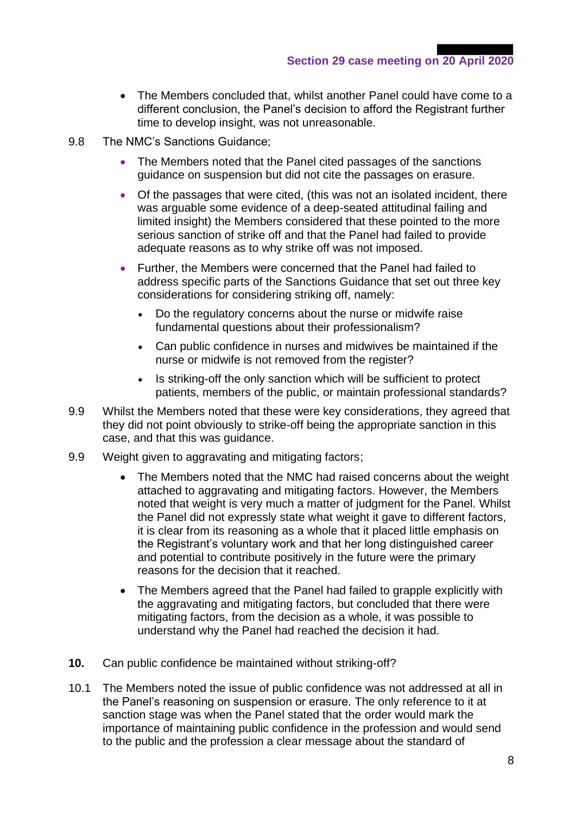- The Members concluded that, whilst another Panel could have come to a different conclusion, the Panel's decision to afford the Registrant further time to develop insight, was not unreasonable.
- 9.8 The NMC's Sanctions Guidance;
	- The Members noted that the Panel cited passages of the sanctions guidance on suspension but did not cite the passages on erasure.
	- Of the passages that were cited, (this was not an isolated incident, there was arguable some evidence of a deep-seated attitudinal failing and limited insight) the Members considered that these pointed to the more serious sanction of strike off and that the Panel had failed to provide adequate reasons as to why strike off was not imposed.
	- Further, the Members were concerned that the Panel had failed to address specific parts of the Sanctions Guidance that set out three key considerations for considering striking off, namely:
		- Do the regulatory concerns about the nurse or midwife raise fundamental questions about their professionalism?
		- Can public confidence in nurses and midwives be maintained if the nurse or midwife is not removed from the register?
		- Is striking-off the only sanction which will be sufficient to protect patients, members of the public, or maintain professional standards?
- 9.9 Whilst the Members noted that these were key considerations, they agreed that they did not point obviously to strike-off being the appropriate sanction in this case, and that this was guidance.
- 9.9 Weight given to aggravating and mitigating factors;
	- The Members noted that the NMC had raised concerns about the weight attached to aggravating and mitigating factors. However, the Members noted that weight is very much a matter of judgment for the Panel. Whilst the Panel did not expressly state what weight it gave to different factors, it is clear from its reasoning as a whole that it placed little emphasis on the Registrant's voluntary work and that her long distinguished career and potential to contribute positively in the future were the primary reasons for the decision that it reached.
	- The Members agreed that the Panel had failed to grapple explicitly with the aggravating and mitigating factors, but concluded that there were mitigating factors, from the decision as a whole, it was possible to understand why the Panel had reached the decision it had.
- **10.** Can public confidence be maintained without striking-off?
- 10.1 The Members noted the issue of public confidence was not addressed at all in the Panel's reasoning on suspension or erasure. The only reference to it at sanction stage was when the Panel stated that the order would mark the importance of maintaining public confidence in the profession and would send to the public and the profession a clear message about the standard of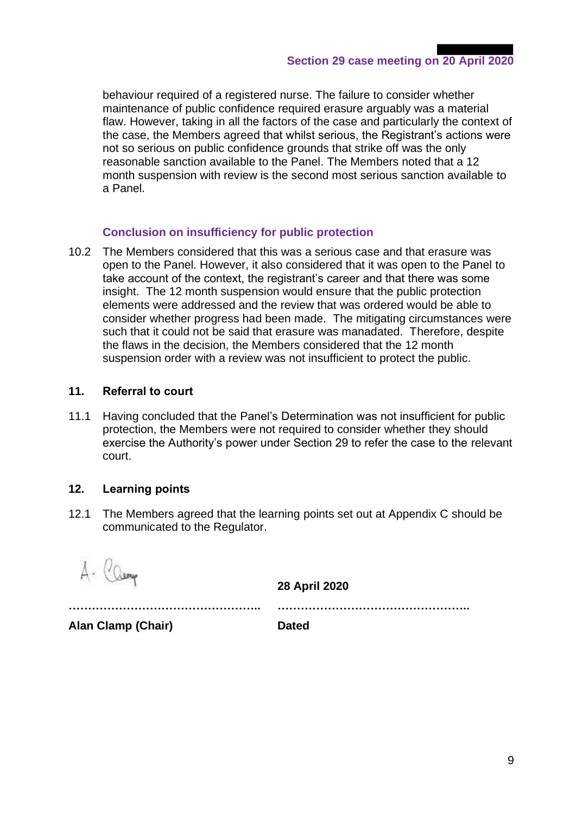behaviour required of a registered nurse. The failure to consider whether maintenance of public confidence required erasure arguably was a material flaw. However, taking in all the factors of the case and particularly the context of the case, the Members agreed that whilst serious, the Registrant's actions were not so serious on public confidence grounds that strike off was the only reasonable sanction available to the Panel. The Members noted that a 12 month suspension with review is the second most serious sanction available to a Panel.

## **Conclusion on insufficiency for public protection**

10.2 The Members considered that this was a serious case and that erasure was open to the Panel. However, it also considered that it was open to the Panel to take account of the context, the registrant's career and that there was some insight. The 12 month suspension would ensure that the public protection elements were addressed and the review that was ordered would be able to consider whether progress had been made. The mitigating circumstances were such that it could not be said that erasure was manadated. Therefore, despite the flaws in the decision, the Members considered that the 12 month suspension order with a review was not insufficient to protect the public.

#### **11. Referral to court**

11.1 Having concluded that the Panel's Determination was not insufficient for public protection, the Members were not required to consider whether they should exercise the Authority's power under Section 29 to refer the case to the relevant court.

## **12. Learning points**

12.1 The Members agreed that the learning points set out at Appendix C should be communicated to the Regulator.

A- Camp

**28 April 2020**

**………………………………………….. …………………………………………..**

**Alan Clamp (Chair) Dated**